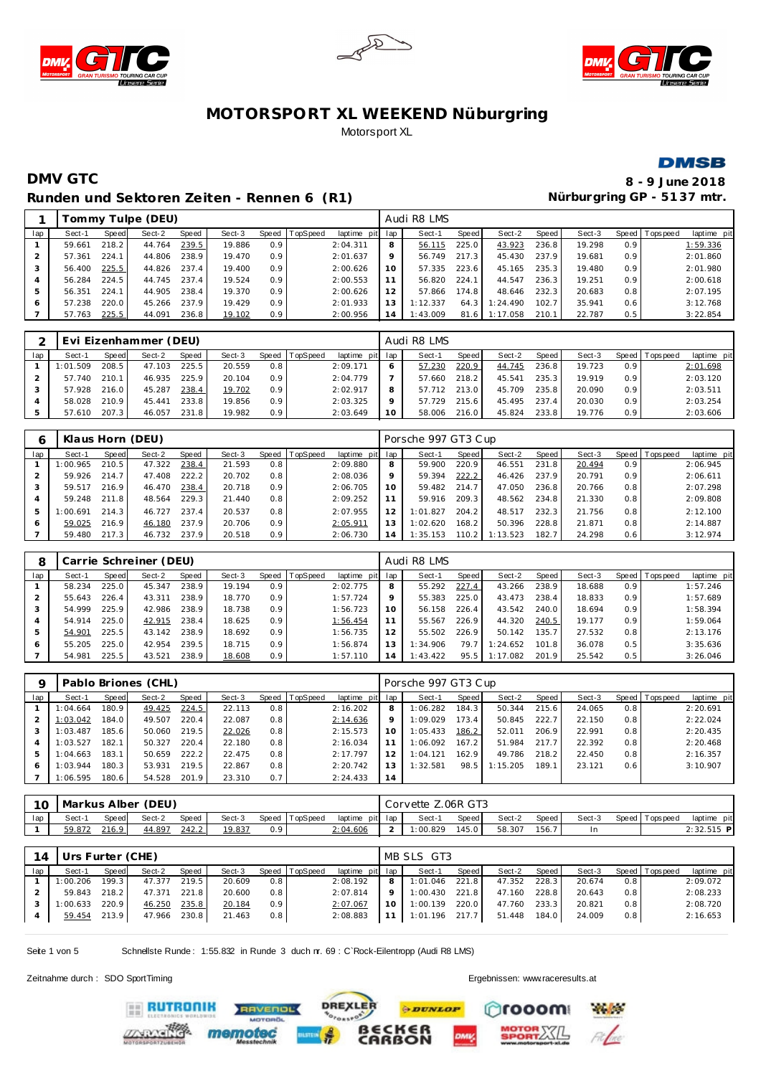







### **DMV GTC 8 - 9 June 2018** Runden und Sektoren Zeiten - Rennen 6 (R1) **Nürburgring GP - 5137 mtr.**

|     |        |       | Tommy Tulpe (DEU) |       |        |       |          |                 |    | Audi R8 LMS |       |          |       |        |                  |                |             |
|-----|--------|-------|-------------------|-------|--------|-------|----------|-----------------|----|-------------|-------|----------|-------|--------|------------------|----------------|-------------|
| lap | Sect-1 | Speed | Sect-2            | Speed | Sect-3 | Speed | TopSpeed | laptime pit lap |    | Sect-1      | Speed | Sect-2   | Speed | Sect-3 |                  | Speed Topspeed | laptime pit |
|     | 59.661 | 218.2 | 44.764            | 239.5 | 19.886 | 0.9   |          | 2:04.311        | 8  | 56.115      | 225.0 | 43.923   | 236.8 | 19.298 | 0.9 <sup>°</sup> |                | 1:59.336    |
|     | 57.361 | 224.1 | 44.806            | 238.9 | 19.470 | 0.9   |          | 2:01.637        | 9  | 56.749      | 217.3 | 45.430   | 237.9 | 19.681 | 0.9              |                | 2:01.860    |
|     | 56.400 | 225.5 | 44.826            | 237.4 | 19.400 | 0.9   |          | 2:00.626        | 10 | 57.335      | 223.6 | 45.165   | 235.3 | 19.480 | 0.9              |                | 2:01.980    |
|     | 56.284 | 224.5 | 44.745            | 237.4 | 19.524 | 0.9   |          | 2:00.553        |    | 56.820      | 224.1 | 44.547   | 236.3 | 19.251 | 0.9              |                | 2:00.618    |
| 5   | 56.351 | 224.1 | 44.905            | 238.4 | 19.370 | 0.9   |          | 2:00.626        |    | 57.866      | 174.8 | 48.646   | 232.3 | 20.683 | 0.8              |                | 2:07.195    |
| 6   | 57.238 | 220.0 | 45.266            | 237.9 | 19.429 | 0.9   |          | 2:01.933        |    | 1:12.337    | 64.3  | 1:24.490 | 102.7 | 35.941 | 0.6              |                | 3:12.768    |
|     | 57.763 | 225.5 | 44.091            | 236.8 | 19.102 | 0.9   |          | 2:00.956        | 14 | 1:43.009    | 81.6  | 1:17.058 | 210.1 | 22.787 | 0.5              |                | 3:22.854    |

|     |          |       | Evi Eizenhammer (DEU) |       |        |     |                  |                 |    | Audi R8 LMS |       |        |       |        |                  |                 |             |
|-----|----------|-------|-----------------------|-------|--------|-----|------------------|-----------------|----|-------------|-------|--------|-------|--------|------------------|-----------------|-------------|
| lap | Sect-1   | Speed | Sect-2                | Speed | Sect-3 |     | Speed   TopSpeed | laptime pit lap |    | Sect-1      | Speed | Sect-2 | Speed | Sect-3 |                  | Speed Tops peed | laptime pit |
|     | 1:01.509 | 208.5 | 47.103                | 225.5 | 20.559 | 0.8 |                  | 2:09.171        |    | 57.230      | 220.9 | 44.745 | 236.8 | 19.723 | 0.9 <sup>1</sup> |                 | 2:01.698    |
|     | 57.740   | 210.1 | 46.935                | 225.9 | 20.104 | 0.9 |                  | 2:04.779        |    | 57.660      | 218.2 | 45.541 | 235.3 | 19.919 | 0.9 <sup>°</sup> |                 | 2:03.120    |
|     | 57.928   | 216.0 | 45.287                | 238.4 | 19.702 | 0.9 |                  | 2:02.917        | 8  | 57.712      | 213.0 | 45.709 | 235.8 | 20.090 | 0.9              |                 | 2:03.511    |
|     | 58.028   | 210.9 | 45.441                | 233.8 | 19.856 | 0.9 |                  | 2:03.325        |    | 57.729      | 215.6 | 45.495 | 237.4 | 20.030 | 0.9 <sup>°</sup> |                 | 2:03.254    |
|     | 57.610   | 207.3 | 46.057                | 231.8 | 19.982 | 0.9 |                  | 2:03.649        | 10 | 58.006      | 216.0 | 45.824 | 233.8 | 19.776 | 0.9 <sup>°</sup> |                 | 2:03.606    |

|     |          |       | Klaus Horn (DEU) |       |        |       |          |                 |    | Porsche 997 GT3 Cup |         |          |       |        |                  |                |             |
|-----|----------|-------|------------------|-------|--------|-------|----------|-----------------|----|---------------------|---------|----------|-------|--------|------------------|----------------|-------------|
| lap | Sect-1   | Speed | Sect-2           | Speed | Sect-3 | Speed | TopSpeed | laptime pit lap |    | Sect-1              | Speed I | Sect-2   | Speed | Sect-3 |                  | Speed Topspeed | laptime pit |
|     | 1:00.965 | 210.5 | 47.322           | 238.4 | 21.593 | 0.8   |          | 2:09.880        | 8  | 59.900              | 220.9   | 46.551   | 231.8 | 20.494 | 0.9 <sup>°</sup> |                | 2:06.945    |
|     | 59.926   | 214.7 | 47.408           | 222.2 | 20.702 | 0.8   |          | 2:08.036        |    | 59.394              | 222.2   | 46.426   | 237.9 | 20.791 | 0.9 <sup>°</sup> |                | 2:06.611    |
|     | 59.517   | 216.9 | 46.470           | 238.4 | 20.718 | 0.9   |          | 2:06.705        |    | 59.482              | 214.7   | 47.050   | 236.8 | 20.766 | 0.8              |                | 2:07.298    |
|     | 59.248   | 211.8 | 48.564           | 229.3 | 21.440 | 0.8   |          | 2:09.252        |    | 59.916              | 209.3   | 48.562   | 234.8 | 21.330 | 0.8              |                | 2:09.808    |
| 5   | 1:00.691 | 214.3 | 46.727           | 237.4 | 20.537 | 0.8   |          | 2:07.955        |    | 1:01.827            | 204.2   | 48.517   | 232.3 | 21.756 | 0.8              |                | 2:12.100    |
|     | 59.025   | 216.9 | 46.180           | 237.9 | 20.706 | 0.9   |          | 2:05.911        |    | 1:02.620            | 168.2   | 50.396   | 228.8 | 21.871 | 0.8              |                | 2:14.887    |
|     | 59.480   | 217.3 | 46.732           | 237.9 | 20.518 | 0.9   |          | 2:06.730        | 14 | 1:35.153            | 110.2   | 1:13.523 | 182.7 | 24.298 | 0.6              |                | 3:12.974    |

|     |        |       | Carrie Schreiner (DEU) |       |        |         |          |             |                | Audi R8 LMS |       |          |                    |        |                  |                 |             |
|-----|--------|-------|------------------------|-------|--------|---------|----------|-------------|----------------|-------------|-------|----------|--------------------|--------|------------------|-----------------|-------------|
| lap | Sect-1 | Speed | Sect-2                 | Speed | Sect-3 | Speed I | TopSpeed | laptime pit | lap            | Sect-1      | Speed | Sect-2   | Speed              | Sect-3 |                  | Speed Tops peed | laptime pit |
|     | 58.234 | 225.0 | 45.347                 | 238.9 | 19.194 | 0.9     |          | 2:02.775    | 8              | 55.292      | 227.4 | 43.266   | 238.9              | 18.688 | 0.9 <sup>°</sup> |                 | 1:57.246    |
|     | 55.643 | 226.4 | 43.311                 | 238.9 | 18.770 | 0.9     |          | 1:57.724    | Q              | 55.383      | 225.0 | 43.473   | 238.4              | 18.833 | 0.9 <sup>°</sup> |                 | 1:57.689    |
|     | 54.999 | 225.9 | 42.986                 | 238.9 | 18.738 | 0.9     |          | 1:56.723    | 10             | 56.158      | 226.4 | 43.542   | 240.0              | 18.694 | 0.9 <sup>°</sup> |                 | 1:58.394    |
|     | 54.914 | 225.0 | 42.915                 | 238.4 | 18.625 | 0.9     |          | 1:56.454    |                | 55.567      | 226.9 | 44.320   | 240.5              | 19.177 | 0.9 <sup>°</sup> |                 | 1:59.064    |
| 5   | 54.901 | 225.5 | 43.142                 | 238.9 | 18.692 | 0.9     |          | 1:56.735    | 12             | 55.502      | 226.9 | 50.142   | 135.7 <sub>1</sub> | 27.532 | 0.8              |                 | 2:13.176    |
| 6   | 55.205 | 225.0 | 42.954                 | 239.5 | 18.715 | 0.9     |          | 1:56.874    |                | 1:34.906    | 79.7  | 1:24.652 | 101.8              | 36.078 | 0.5              |                 | 3:35.636    |
|     | 54.981 | 225.5 | 43.521                 | 238.9 | 18.608 | 0.9     |          | 1:57.110    | $\overline{4}$ | 1:43.422    | 95.5  | 1:17.082 | 201.9              | 25.542 | 0.5              |                 | 3:26.046    |

| O   |          |       | Pablo Briones (CHL) |       |        |     |                |                 |         | Porsche 997 GT3 Cup |       |          |       |        |     |                 |             |
|-----|----------|-------|---------------------|-------|--------|-----|----------------|-----------------|---------|---------------------|-------|----------|-------|--------|-----|-----------------|-------------|
| lap | Sect-1   | Speed | Sect-2              | Speed | Sect-3 |     | Speed TopSpeed | laptime pit lap |         | Sect-1              | Speed | Sect-2   | Speed | Sect-3 |     | Speed Tops peed | laptime pit |
|     | 1:04.664 | 180.9 | 49.425              | 224.5 | 22.113 | 0.8 |                | 2:16.202        | 8       | 1:06.282            | 184.3 | 50.344   | 215.6 | 24.065 | 0.8 |                 | 2:20.691    |
|     | 1:03.042 | 184.0 | 49.507              | 220.4 | 22.087 | 0.8 |                | 2:14.636        | $\circ$ | 1:09.029            | 173.4 | 50.845   | 222.7 | 22.150 | 0.8 |                 | 2:22.024    |
|     | 1:03.487 | 185.6 | 50.060              | 219.5 | 22.026 | 0.8 |                | 2:15.573        | 1C      | 1:05.433            | 186.2 | 52.011   | 206.9 | 22.991 | 0.8 |                 | 2:20.435    |
|     | 1:03.527 | 182.1 | 50.327              | 220.4 | 22.180 | 0.8 |                | 2:16.034        |         | 1:06.092            | 167.2 | 51.984   | 217.7 | 22.392 | 0.8 |                 | 2:20.468    |
|     | 1:04.663 | 183.1 | 50.659              | 222.2 | 22.475 | 0.8 |                | 2:17.797        |         | 1:04.121            | 162.9 | 49.786   | 218.2 | 22.450 | 0.8 |                 | 2:16.357    |
| 6   | 1:03.944 | 180.3 | 53.931              | 219.5 | 22.867 | 0.8 |                | 2:20.742        |         | 1:32.581            | 98.5  | 1:15.205 | 189.1 | 23.121 | 0.6 |                 | 3:10.907    |
|     | 1:06.595 | 180.6 | 54.528              | 201.9 | 23.310 | 0.7 |                | 2:24.433        | 14      |                     |       |          |       |        |     |                 |             |

| 10  |        |              | Markus Alber (DEU) |       |        |     |                |                 | Corvette Z.06R GT3 |       |        |       |        |                 |              |
|-----|--------|--------------|--------------------|-------|--------|-----|----------------|-----------------|--------------------|-------|--------|-------|--------|-----------------|--------------|
| lap | Sect-1 | <b>Speed</b> | Sect-2             | Speed | Sect-3 |     | Speed TopSpeed | laptime pit lap | Sect-1             | Speed | Sect-2 | Speed | Sect-3 | Speed Tops peed | laptime pit  |
|     | 59.872 | 216.9        | 44.897             | 242.2 | 19.837 | 0.9 |                | 2:04.606        | 1:00.829           | 145.0 | 58.307 | 156.7 |        |                 | $2:32.515$ P |

|     | 14 Urs Furter (CHE) |       |              |       |        |                  |                |                            |                | MB SLS GT3        |       |              |       |        |     |                |             |
|-----|---------------------|-------|--------------|-------|--------|------------------|----------------|----------------------------|----------------|-------------------|-------|--------------|-------|--------|-----|----------------|-------------|
| Iap | Sect-1              | Speed | Sect-2       | Speed | Sect-3 |                  | Speed TopSpeed | laptime pit lap            |                | Sect-1            | Speed | Sect-2       | Speed | Sect-3 |     | Speed Topspeed | laptime pit |
|     | 1:00.206 199.3      |       | 47.377 219.5 |       | 20.609 | 0.8              |                | 2:08.192                   |                | 8 1:01.046 221.8  |       | 47.352       | 228.3 | 20.674 | 0.8 |                | 2:09.072    |
|     | 59.843              | 218.2 | 47.371 221.8 |       | 20.600 | 0.8              |                | 2:07.814                   | 9 <sub>1</sub> | $1:00.430$ 221.8  |       | 47.160       | 228.8 | 20.643 | 0.8 |                | 2:08.233    |
|     | $1:00.633$ 220.9    |       | 46.250 235.8 |       | 20.184 | 0.9 <sup>1</sup> |                | 2:07.067                   |                | 10 1:00.139 220.0 |       | 47.760       | 233.3 | 20.821 | 0.8 |                | 2:08.720    |
|     | 59.454 213.9        |       | 47.966 230.8 |       | 21.463 | 0.8              |                | 2:08.883 11 1:01.196 217.7 |                |                   |       | 51.448 184.0 |       | 24.009 | 0.8 |                | 2:16.653    |

Seite 1 von 5 Schnellste Runde : 1:55.832 in Runde 3 duch nr. 69 : C`Rock-Eilentropp (Audi R8 LMS)

Zeitnahme durch : SDO SportTiming Ergebnissen: [www.raceresults.a](www.raceresults.at)t

**EE RUTRONIK** 



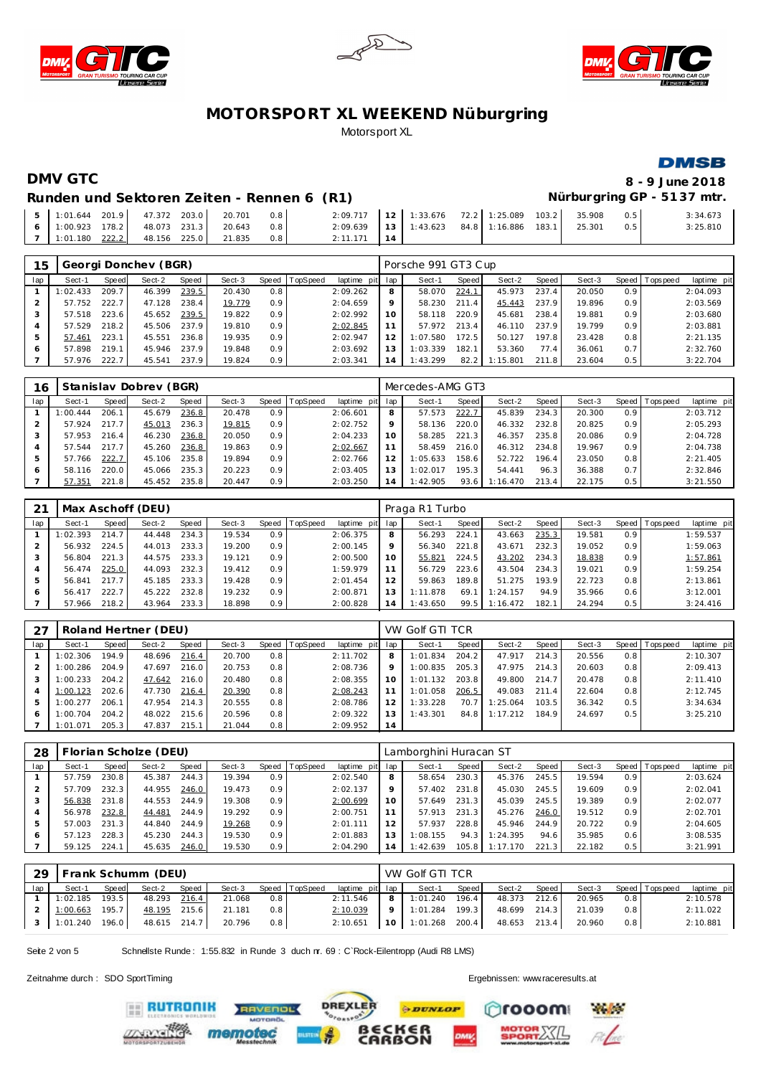





### **DMSB**

# **DMV GTC 8 - 9 June 2018**

### Runden und Sektoren Zeiten - Rennen 6 (R1) **Nürburgring GP - 5137 mtr.**

|  |  | $\begin{bmatrix} 5 & 1:01.644 & 201.9 & 47.372 & 203.0 & 20.701 \end{bmatrix}$ | 0.8 | $2:09.717$ 12 1:33.676 72.2 1:25.089 103.2 35.908 |  |  |  | 0.5 | 3:34.673 |
|--|--|--------------------------------------------------------------------------------|-----|---------------------------------------------------|--|--|--|-----|----------|
|  |  | 6   1:00.923 178.2   48.073 231.3   20.643 0.8                                 |     | 2:09.639 13 1:43.623 84.8 1:16.886 183.1 25.301   |  |  |  |     | 3:25.810 |
|  |  | 7   1:01.180 $\frac{222.2}{ }$ 48.156 225.0 21.835                             | 0.8 | $2:11.171$ 14                                     |  |  |  |     |          |

| 15             |          |       | Georgi Donchev (BGR) |       |        |              |                 |                 |         | Porsche 991 GT3 Cup |         |          |        |        |                  |                 |             |
|----------------|----------|-------|----------------------|-------|--------|--------------|-----------------|-----------------|---------|---------------------|---------|----------|--------|--------|------------------|-----------------|-------------|
| lap            | Sect-1   | Speed | Sect-2               | Speed | Sect-3 | <b>Speed</b> | <b>TopSpeed</b> | laptime pit lap |         | Sect-1              | Speed I | Sect-2   | Speed  | Sect-3 |                  | Speed Tops peed | laptime pit |
|                | 1:02.433 | 209.7 | 46.399               | 239.5 | 20.430 | 0.8          |                 | 2:09.262        | 8       | 58.070              | 224.1   | 45.973   | 237.4  | 20.050 | 0.9 <sup>1</sup> |                 | 2:04.093    |
|                | 57.752   | 222.7 | 47.128               | 238.4 | 19.779 | 0.9          |                 | 2:04.659        | $\circ$ | 58.230              | 211.4   | 45.443   | 237.9  | 19.896 | 0.9 <sup>1</sup> |                 | 2:03.569    |
| 3              | 57.518   | 223.6 | 45.652               | 239.5 | 19.822 | 0.9          |                 | 2:02.992        | 10      | 58.118              | 220.9   | 45.681   | 238.4  | 19.881 | 0.9 <sub>1</sub> |                 | 2:03.680    |
| $\overline{a}$ | 57.529   | 218.2 | 45.506               | 237.9 | 19.810 | 0.9          |                 | 2:02.845        |         | 57.972              | 213.4   | 46.110   | 237.9  | 19.799 | 0.9 <sup>1</sup> |                 | 2:03.881    |
| 5              | 57.461   | 223.1 | 45.551               | 236.8 | 19.935 | 0.9          |                 | 2:02.947        | 12      | 1:07.580            | 172.5   | 50.127   | 197.8. | 23.428 | 0.8              |                 | 2:21.135    |
| 6              | 57.898   | 219.1 | 45.946               | 237.9 | 19.848 | 0.9          |                 | 2:03.692        |         | 1:03.339            | 182.1   | 53.360   | 77.4   | 36.061 | 0.7              |                 | 2:32.760    |
|                | 57.976   | 222.7 | 45.541               | 237.9 | 19.824 | 0.9          |                 | 2:03.341        | 14      | 1:43.299            | 82.2    | 1:15.801 | 211.8  | 23.604 | 0.5              |                 | 3:22.704    |

| 16  |          |       | Stanislav Dobrev (BGR) |       |        |       |          |                 |         | Mercedes-AMG GT3 |       |          |       |        |                  |                 |             |
|-----|----------|-------|------------------------|-------|--------|-------|----------|-----------------|---------|------------------|-------|----------|-------|--------|------------------|-----------------|-------------|
| lap | Sect-1   | Speed | Sect-2                 | Speed | Sect-3 | Speed | TopSpeed | laptime pit lap |         | Sect-1           | Speed | Sect-2   | Speed | Sect-3 |                  | Speed Tops peed | laptime pit |
|     | 1:00.444 | 206.1 | 45.679                 | 236.8 | 20.478 | 0.9   |          | 2:06.601        | 8       | 57.573           | 222.7 | 45.839   | 234.3 | 20.300 | 0.9              |                 | 2:03.712    |
|     | 57.924   | 217.7 | 45.013                 | 236.3 | 19.815 | 0.9   |          | 2:02.752        | $\circ$ | 58.136           | 220.0 | 46.332   | 232.8 | 20.825 | 0.9              |                 | 2:05.293    |
|     | 57.953   | 216.4 | 46.230                 | 236.8 | 20.050 | 0.9   |          | 2:04.233        | 10      | 58.285           | 221.3 | 46.357   | 235.8 | 20.086 | 0.9 <sup>°</sup> |                 | 2:04.728    |
| 4   | 57.544   | 217.7 | 45.260                 | 236.8 | 19.863 | 0.9   |          | 2:02.667        |         | 58.459           | 216.0 | 46.312   | 234.8 | 19.967 | 0.9 <sup>°</sup> |                 | 2:04.738    |
| 5   | 57.766   | 222.7 | 45.106                 | 235.8 | 19.894 | 0.9   |          | 2:02.766        |         | 1:05.633         | 158.6 | 52.722   | 196.4 | 23.050 | 0.8              |                 | 2:21.405    |
|     | 58.116   | 220.0 | 45.066                 | 235.3 | 20.223 | 0.9   |          | 2:03.405        |         | 1:02.017         | 195.3 | 54.441   | 96.3  | 36.388 | 0.7              |                 | 2:32.846    |
|     | 57.351   | 221.8 | 45.452                 | 235.8 | 20.447 | 0.9   |          | 2:03.250        | 14      | I: 42.905        | 93.6  | 1:16.470 | 213.4 | 22.175 | 0.5              |                 | 3:21.550    |

|     |          |       | Max Aschoff (DEU) |       |        |                  |                 |                 |    | Praga R1 Turbo |       |          |       |        |                  |                 |             |
|-----|----------|-------|-------------------|-------|--------|------------------|-----------------|-----------------|----|----------------|-------|----------|-------|--------|------------------|-----------------|-------------|
| lap | Sect-1   | Speed | Sect-2            | Speed | Sect-3 | Speed            | <b>TopSpeed</b> | laptime pit lap |    | Sect-1         | Speed | Sect-2   | Speed | Sect-3 |                  | Speed Tops peed | laptime pit |
|     | 1:02.393 | 214.7 | 44.448            | 234.3 | 19.534 | 0.9 <sup>°</sup> |                 | 2:06.375        | 8  | 56.293         | 224.7 | 43.663   | 235.3 | 19.581 | 0.9              |                 | 1:59.537    |
|     | 56.932   | 224.5 | 44.013            | 233.3 | 19.200 | 0.9              |                 | 2:00.145        |    | 56.340         | 221.8 | 43.671   | 232.3 | 19.052 | 0.9 <sup>1</sup> |                 | 1:59.063    |
|     | 56.804   | 221.3 | 44.575            | 233.3 | 19.121 | 0.9 <sup>°</sup> |                 | 2:00.500        | 10 | 55.821         | 224.5 | 43.202   | 234.3 | 18.838 | 0.9              |                 | 1:57.861    |
| 4   | 56.474   | 225.0 | 44.093            | 232.3 | 19.412 | 0.9 <sup>°</sup> |                 | 1:59.979        |    | 56.729         | 223.6 | 43.504   | 234.3 | 19.021 | 0.9              |                 | 1:59.254    |
| 5   | 56.841   | 217.7 | 45.185            | 233.3 | 19.428 | 0.9              |                 | 2:01.454        |    | 59.863         | 189.8 | 51.275   | 193.9 | 22.723 | 0.8              |                 | 2:13.861    |
| 6   | 56.417   | 222.7 | 45.222            | 232.8 | 19.232 | 0.9              |                 | 2:00.871        | 13 | 1:11.878       | 69.1  | 1:24.157 | 94.9  | 35.966 | 0.6              |                 | 3:12.001    |
|     | 57.966   | 218.2 | 43.964            | 233.3 | 18.898 | 0.9              |                 | 2:00.828        | 14 | 1:43.650       | 99.5  | 1:16.472 | 182.1 | 24.294 | 0.5              |                 | 3:24.416    |

|     |          |       | Roland Hertner (DEU) |       |        |     |                  |                 |         | VW Golf GTI TCR |       |          |       |        |     |                 |             |
|-----|----------|-------|----------------------|-------|--------|-----|------------------|-----------------|---------|-----------------|-------|----------|-------|--------|-----|-----------------|-------------|
| lap | Sect-1   | Speed | Sect-2               | Speed | Sect-3 |     | Speed   TopSpeed | laptime pit lap |         | Sect-1          | Speed | Sect-2   | Speed | Sect-3 |     | Speed Tops peed | laptime pit |
|     | 1:02.306 | 194.9 | 48.696               | 216.4 | 20.700 | 0.8 |                  | 2:11.702        | 8       | 1:01.834        | 204.2 | 47.917   | 214.3 | 20.556 | 0.8 |                 | 2:10.307    |
|     | 1:00.286 | 204.9 | 47.697               | 216.0 | 20.753 | 0.8 |                  | 2:08.736        | $\circ$ | 1:00.835        | 205.3 | 47.975   | 214.3 | 20.603 | 0.8 |                 | 2:09.413    |
|     | 1:00.233 | 204.2 | 47.642               | 216.0 | 20.480 | 0.8 |                  | 2:08.355        | 10      | 1:01.132        | 203.8 | 49.800   | 214.7 | 20.478 | 0.8 |                 | 2:11.410    |
|     | 1:00.123 | 202.6 | 47.730               | 216.4 | 20.390 | 0.8 |                  | 2:08.243        |         | 1:01.058        | 206.5 | 49.083   | 211.4 | 22.604 | 0.8 |                 | 2:12.745    |
|     | 1:00.277 | 206.1 | 47.954               | 214.3 | 20.555 | 0.8 |                  | 2:08.786        |         | 1:33.228        | 70.7  | 1:25.064 | 103.5 | 36.342 | 0.5 |                 | 3:34.634    |
|     | 1:00.704 | 204.2 | 48.022               | 215.6 | 20.596 | 0.8 |                  | 2:09.322        |         | 1:43.301        | 84.8  | 1:17.212 | 184.9 | 24.697 | 0.5 |                 | 3:25.210    |
|     | 1:01.071 | 205.3 | 47.837               | 215.1 | 21.044 | 0.8 |                  | 2:09.952        | 14      |                 |       |          |       |        |     |                 |             |

| 28  |        |       | Florian Scholze (DEU) |       |        |                  |          |                 |    | Lamborghini Huracan ST |       |          |         |        |                  |                 |             |
|-----|--------|-------|-----------------------|-------|--------|------------------|----------|-----------------|----|------------------------|-------|----------|---------|--------|------------------|-----------------|-------------|
| lap | Sect-1 | Speed | Sect-2                | Speed | Sect-3 | Speed I          | TopSpeed | laptime pit lap |    | Sect-1                 | Speed | Sect-2   | Speed ! | Sect-3 |                  | Speed Tops peed | laptime pit |
|     | 57.759 | 230.8 | 45.387                | 244.3 | 19.394 | 0.9              |          | 2:02.540        | 8  | 58.654                 | 230.3 | 45.376   | 245.5   | 19.594 | 0.9 <sup>°</sup> |                 | 2:03.624    |
|     | 57.709 | 232.3 | 44.955                | 246.0 | 19.473 | 0.9              |          | 2:02.137        | Q  | 57.402                 | 231.8 | 45.030   | 245.5   | 19.609 | 0.9 <sup>°</sup> |                 | 2:02.041    |
|     | 56.838 | 231.8 | 44.553                | 244.9 | 19.308 | 0.9 <sup>°</sup> |          | 2:00.699        | 10 | 57.649                 | 231.3 | 45.039   | 245.5   | 19.389 | 0.9 <sup>°</sup> |                 | 2:02.077    |
| 4   | 56.978 | 232.8 | 44.481                | 244.9 | 19.292 | 0.9 <sup>°</sup> |          | 2:00.751        | 11 | 57.913                 | 231.3 | 45.276   | 246.0   | 19.512 | 0.9 <sup>°</sup> |                 | 2:02.701    |
| 5   | 57.003 | 231.3 | 44.840                | 244.9 | 19.268 | 0.9              |          | 2:01.111        | 12 | 57.937                 | 228.8 | 45.946   | 244.9   | 20.722 | 0.9 <sup>°</sup> |                 | 2:04.605    |
| 6   | 57.123 | 228.3 | 45.230                | 244.3 | 19.530 | 0.9 <sup>°</sup> |          | 2:01.883        |    | 1:08.155               | 94.3  | 1:24.395 | 94.6    | 35.985 | 0.6              |                 | 3:08.535    |
|     | 59.125 | 224.1 | 45.635                | 246.0 | 19.530 | 0.9              |          | 2:04.290        | 14 | 1:42.639               | 105.8 | 1:17.170 | 221.3   | 22.182 | 0.5              |                 | 3:21.991    |

| 29  |                  |       | Frank Schumm (DEU) |       |        |     |                       |                 |   | VW Golf GTI TCR   |       |              |        |     |                       |             |
|-----|------------------|-------|--------------------|-------|--------|-----|-----------------------|-----------------|---|-------------------|-------|--------------|--------|-----|-----------------------|-------------|
| lap | Sect-1           | Speed | Sect-2             | Speed |        |     | Sect-3 Speed TopSpeed | laptime pit lap |   | Sect-1            | Speed | Sect-2 Speed |        |     | Sect-3 Speed Topspeed | laptime pit |
|     | 1:02.185         | 193.5 | 48.293 216.4       |       | 21.068 | 0.8 |                       | 2:11.546        | 8 | 1:01.240          | 196.4 | 48.373 212.6 | 20.965 | 0.8 |                       | 2:10.578    |
|     | $1:00.663$ 195.7 |       | 48.195 215.6       |       | 21.181 | 0.8 |                       | 2:10.039        |   | 9 1:01.284 199.3  |       | 48.699 214.3 | 21.039 | 0.8 |                       | 2:11.022    |
|     | 1:01.240 196.0   |       | 48.615 214.7       |       | 20.796 | 0.8 |                       | 2:10.651        |   | 10 1:01.268 200.4 |       | 48.653 213.4 | 20.960 | 0.8 |                       | 2:10.881    |

Seite 2 von 5 Schnellste Runde : 1:55.832 in Runde 3 duch nr. 69 : C`Rock-Eilentropp (Audi R8 LMS)

Zeitnahme durch : SDO SportTiming Ergebnissen: [www.raceresults.a](www.raceresults.at)t

**ERUTRONIK** 



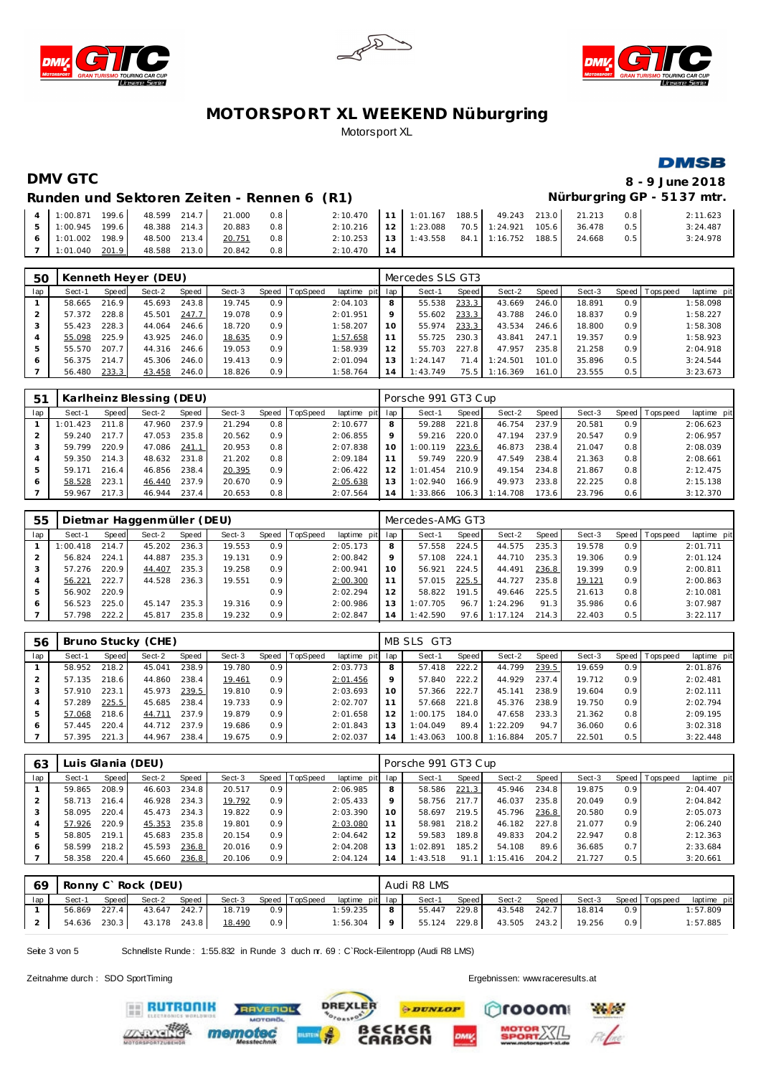





### **DMSB**

### **DMV GTC 8 - 9 June 2018 Runden und Sektoren Ze iten - Rennen 6 (R1) Nürburgring GP - 51 37 mtr.**

| Runden und Sektoren Zeiten - Rennen 6 (R1) |  |  |  |
|--------------------------------------------|--|--|--|
|                                            |  |  |  |
|                                            |  |  |  |

| 4 1:00.871 199.6 48.599 214.7 21.000 |  |        | 0.8 | 2:10.470 11 1:01.167 188.5 49.243 213.0 21.213   |  |  |        | 0.8 | 2:11.623 |
|--------------------------------------|--|--------|-----|--------------------------------------------------|--|--|--------|-----|----------|
| 5 1:00.945 199.6 48.388 214.3 20.883 |  |        | 0.8 | 2:10.216   12   1:23.088  70.5   1:24.921  105.6 |  |  | 36.478 | 0.5 | 3:24.487 |
| 6 1:01.002 198.9 48.500 213.4        |  | 20.751 | 0.8 | 2:10.253   13   1:43.558 84.1   1:16.752 188.5   |  |  | 24.668 | 0.5 | 3:24.978 |
|                                      |  |        | 0.8 | $2:10.470$ 14                                    |  |  |        |     |          |

| 50  |        |       | Kenneth Heyer (DEU) |       |        |       |          |                 |         | Mercedes SLS GT3 |       |          |       |        |                  |                 |             |
|-----|--------|-------|---------------------|-------|--------|-------|----------|-----------------|---------|------------------|-------|----------|-------|--------|------------------|-----------------|-------------|
| lap | Sect-1 | Speed | Sect-2              | Speed | Sect-3 | Speed | TopSpeed | laptime pit lap |         | Sect-1           | Speed | Sect-2   | Speed | Sect-3 |                  | Speed Tops peed | laptime pit |
|     | 58.665 | 216.9 | 45.693              | 243.8 | 19.745 | 0.9   |          | 2:04.103        | 8       | 55.538           | 233.3 | 43.669   | 246.0 | 18.891 | 0.9 <sup>°</sup> |                 | 1:58.098    |
|     | 57.372 | 228.8 | 45.501              | 247.7 | 19.078 | 0.9   |          | 2:01.951        | $\circ$ | 55.602           | 233.3 | 43.788   | 246.0 | 18.837 | 0.9              |                 | 1:58.227    |
|     | 55.423 | 228.3 | 44.064              | 246.6 | 18.720 | 0.9   |          | 1:58.207        | 10      | 55.974           | 233.3 | 43.534   | 246.6 | 18.800 | 0.9              |                 | 1:58.308    |
| 4   | 55.098 | 225.9 | 43.925              | 246.0 | 18.635 | 0.9   |          | 1:57.658        |         | 55.725           | 230.3 | 43.841   | 247.1 | 19.357 | 0.9 <sup>°</sup> |                 | 1:58.923    |
| .5  | 55.570 | 207.7 | 44.316              | 246.6 | 19.053 | 0.9   |          | 1:58.939        |         | 55.703           | 227.8 | 47.957   | 235.8 | 21.258 | 0.9              |                 | 2:04.918    |
| 6   | 56.375 | 214.7 | 45.306              | 246.0 | 19.413 | 0.9   |          | 2:01.094        |         | 1:24.147         | 71.4  | 1:24.501 | 101.0 | 35.896 | 0.5              |                 | 3:24.544    |
|     | 56.480 | 233.3 | 43.458              | 246.0 | 18.826 | 0.9   |          | 1:58.764        | 14      | 1:43.749         | 75.5  | 1:16.369 | 161.0 | 23.555 | 0.5              |                 | 3:23.673    |

| 51  |          |       | Karlheinz Blessing (DEU) |       |        |       |          |                 |    | Porsche 991 GT3 Cup |       |          |       |        |                  |                 |             |
|-----|----------|-------|--------------------------|-------|--------|-------|----------|-----------------|----|---------------------|-------|----------|-------|--------|------------------|-----------------|-------------|
| lap | Sect-1   | Speed | Sect-2                   | Speed | Sect-3 | Speed | TopSpeed | laptime pit lap |    | Sect-1              | Speed | Sect-2   | Speed | Sect-3 |                  | Speed Tops peed | laptime pit |
|     | 1:01.423 | 211.8 | 47.960                   | 237.9 | 21.294 | 0.8   |          | 2:10.677        | 8  | 59.288              | 221.8 | 46.754   | 237.9 | 20.581 | 0.91             |                 | 2:06.623    |
|     | 59.240   | 217.7 | 47.053                   | 235.8 | 20.562 | 0.9   |          | 2:06.855        |    | 59.216              | 220.0 | 47.194   | 237.9 | 20.547 | 0.9 <sup>°</sup> |                 | 2:06.957    |
|     | 59.799   | 220.9 | 47.086                   | 241.1 | 20.953 | 0.8   |          | 2:07.838        | 10 | 1:00.119            | 223.6 | 46.873   | 238.4 | 21.047 | 0.8              |                 | 2:08.039    |
|     | 59.350   | 214.3 | 48.632                   | 231.8 | 21.202 | 0.8   |          | 2:09.184        |    | 59.749              | 220.9 | 47.549   | 238.4 | 21.363 | 0.8              |                 | 2:08.661    |
|     | 59.171   | 216.4 | 46.856                   | 238.4 | 20.395 | 0.9   |          | 2:06.422        |    | 1:01.454            | 210.9 | 49.154   | 234.8 | 21.867 | 0.8              |                 | 2:12.475    |
|     | 58.528   | 223.1 | 46.440                   | 237.9 | 20.670 | 0.9   |          | 2:05.638        | 13 | 1:02.940            | 166.9 | 49.973   | 233.8 | 22.225 | 0.8              |                 | 2:15.138    |
|     | 59.967   | 217.3 | 46.944                   | 237.4 | 20.653 | 0.8   |          | 2:07.564        | 14 | 1:33.866            | 106.3 | 1:14.708 | 173.6 | 23.796 | 0.6              |                 | 3:12.370    |

| 55  |          |       | Dietmar Haggenmüller (DEU) |       |        |                  |                |                 |                | Mercedes-AMG GT3 |       |          |         |        |     |                 |             |
|-----|----------|-------|----------------------------|-------|--------|------------------|----------------|-----------------|----------------|------------------|-------|----------|---------|--------|-----|-----------------|-------------|
| lap | Sect-1   | Speed | Sect-2                     | Speed | Sect-3 |                  | Speed TopSpeed | laptime pit lap |                | Sect-1           | Speed | Sect-2   | Speed ' | Sect-3 |     | Speed Tops peed | laptime pit |
|     | : 00.418 | 214.7 | 45.202                     | 236.3 | 19.553 | 0.9 <sup>°</sup> |                | 2:05.173        | 8              | 57.558           | 224.5 | 44.575   | 235.3   | 19.578 | 0.9 |                 | 2:01.711    |
|     | 56.824   | 224.1 | 44.887                     | 235.3 | 19.131 | 0.9 <sup>°</sup> |                | 2:00.842        |                | 57.108           | 224.1 | 44.710   | 235.3   | 19.306 | 0.9 |                 | 2:01.124    |
|     | 57.276   | 220.9 | 44.407                     | 235.3 | 19.258 | 0.9 <sup>°</sup> |                | 2:00.941        | 10             | 56.921           | 224.5 | 44.491   | 236.8   | 19.399 | 0.9 |                 | 2:00.811    |
|     | 56.221   | 222.7 | 44.528                     | 236.3 | 19.551 | 0.9 <sup>°</sup> |                | 2:00.300        |                | 57.015           | 225.5 | 44.727   | 235.8   | 19.121 | 0.9 |                 | 2:00.863    |
| 5   | 56.902   | 220.9 |                            |       |        | 0.9              |                | 2:02.294        | 12             | 58.822           | 191.5 | 49.646   | 225.5   | 21.613 | 0.8 |                 | 2:10.081    |
| 6   | 56.523   | 225.0 | 45.147                     | 235.3 | 19.316 | 0.9 <sup>°</sup> |                | 2:00.986        |                | 1:07.705         | 96.7  | 1:24.296 | 91.3    | 35.986 | 0.6 |                 | 3:07.987    |
|     | 57.798   | 222.2 | 45.817                     | 235.8 | 19.232 | 0.9              |                | 2:02.847        | $\overline{A}$ | 1:42.590         | 97.6  | 1:17.124 | 214.3   | 22.403 | 0.5 |                 | 3:22.117    |

| 56  |        |       | Bruno Stucky (CHE) |       |        |                  |                 |             |                | MB SLS GT3 |       |          |       |        |                  |                 |             |
|-----|--------|-------|--------------------|-------|--------|------------------|-----------------|-------------|----------------|------------|-------|----------|-------|--------|------------------|-----------------|-------------|
| lap | Sect-1 | Speed | Sect-2             | Speed | Sect-3 | Speed            | <b>TopSpeed</b> | laptime pit | lap            | Sect-1     | Speed | Sect-2   | Speed | Sect-3 |                  | Speed Tops peed | laptime pit |
|     | 58.952 | 218.2 | 45.041             | 238.9 | 19.780 | 0.9              |                 | 2:03.773    | 8              | 57.418     | 222.2 | 44.799   | 239.5 | 19.659 | 0.9 <sup>°</sup> |                 | 2:01.876    |
|     | 57.135 | 218.6 | 44.860             | 238.4 | 19.461 | 0.9              |                 | 2:01.456    |                | 57.840     | 222.2 | 44.929   | 237.4 | 19.712 | 0.9              |                 | 2:02.481    |
|     | 57.910 | 223.1 | 45.973             | 239.5 | 19.810 | 0.9 <sub>0</sub> |                 | 2:03.693    | 10             | 57.366     | 222.7 | 45.141   | 238.9 | 19.604 | 0.9              |                 | 2:02.111    |
|     | 57.289 | 225.5 | 45.685             | 238.4 | 19.733 | 0.9              |                 | 2:02.707    |                | 57.668     | 221.8 | 45.376   | 238.9 | 19.750 | 0.9              |                 | 2:02.794    |
|     | 57.068 | 218.6 | 44.711             | 237.9 | 19.879 | 0.9              |                 | 2:01.658    |                | 1:00.175   | 184.0 | 47.658   | 233.3 | 21.362 | 0.8              |                 | 2:09.195    |
| 6   | 57.445 | 220.4 | 44.712             | 237.9 | 19.686 | 0.9              |                 | 2:01.843    |                | 1:04.049   | 89.4  | 1:22.209 | 94.7  | 36.060 | 0.6              |                 | 3:02.318    |
|     | 57.395 | 221.3 | 44.967             | 238.4 | 19.675 | 0.9 <sub>0</sub> |                 | 2:02.037    | $\overline{4}$ | 1:43.063   | 100.8 | 1:16.884 | 205.7 | 22.501 | 0.5              |                 | 3:22.448    |

| 63  |        |       | Luis Glania (DEU) |       |        |       |          |                 |                | Porsche 991 GT3 Cup |       |          |       |        |                  |                   |             |
|-----|--------|-------|-------------------|-------|--------|-------|----------|-----------------|----------------|---------------------|-------|----------|-------|--------|------------------|-------------------|-------------|
| lap | Sect-1 | Speed | Sect-2            | Speed | Sect-3 | Speed | TopSpeed | laptime pit lap |                | Sect-1              | Speed | Sect-2   | Speed | Sect-3 |                  | Speed   Tops peed | laptime pit |
|     | 59.865 | 208.9 | 46.603            | 234.8 | 20.517 | 0.9   |          | 2:06.985        |                | 58.586              | 221.3 | 45.946   | 234.8 | 19.875 | 0.9 <sup>°</sup> |                   | 2:04.407    |
|     | 58.713 | 216.4 | 46.928            | 234.3 | 19.792 | 0.9   |          | 2:05.433        |                | 58.756              | 217.7 | 46.037   | 235.8 | 20.049 | 0.9 <sup>°</sup> |                   | 2:04.842    |
|     | 58.095 | 220.4 | 45.473            | 234.3 | 19.822 | 0.9   |          | 2:03.390        | 1 O            | 58.697              | 219.5 | 45.796   | 236.8 | 20.580 | 0.9 <sup>°</sup> |                   | 2:05.073    |
|     | 57.926 | 220.9 | 45.353            | 235.8 | 19.801 | 0.9   |          | 2:03.080        |                | 58.981              | 218.2 | 46.182   | 227.8 | 21.077 | 0.9 <sup>°</sup> |                   | 2:06.240    |
|     | 58.805 | 219.1 | 45.683            | 235.8 | 20.154 | 0.9   |          | 2:04.642        |                | 59.583              | 189.8 | 49.833   | 204.2 | 22.947 | 0.8              |                   | 2:12.363    |
|     | 58.599 | 218.2 | 45.593            | 236.8 | 20.016 | 0.9   |          | 2:04.208        |                | 1:02.891            | 185.2 | 54.108   | 89.6  | 36.685 | 0.7              |                   | 2:33.684    |
|     | 58.358 | 220.4 | 45.660            | 236.8 | 20.106 | 0.9   |          | 2:04.124        | $\overline{4}$ | 1:43.518            | 91.   | 1:15.416 | 204.2 | 21.727 | 0.5              |                   | 3:20.661    |

| 69  |              |       | Ronny C'Rock (DEU) |       |        |                  |                |                 |                | Audi R8 LMS  |       |              |       |        |     |                   |             |
|-----|--------------|-------|--------------------|-------|--------|------------------|----------------|-----------------|----------------|--------------|-------|--------------|-------|--------|-----|-------------------|-------------|
| lap | Sect-1       | Speed | Sect-2             | Speed | Sect-3 |                  | Speed TopSpeed | laptime pit lap |                | Sect-1       | Speed | Sect-2       | Speed | Sect-3 |     | Speed   Tops peed | laptime pit |
|     | 56.869       | 227.4 | 43.647 242.7       |       | 18.719 | 0.9 <sup>°</sup> |                | 1:59.235        | 8              | 55.447 229.8 |       | 43.548 242.7 |       | 18.814 | 0.9 |                   | 1:57.809    |
|     | 54.636 230.3 |       | 43.178 243.8       |       | 18.490 | 0.9 <sub>1</sub> |                | 1:56.304        | 9 <sub>1</sub> | 55.124 229.8 |       | 43.505 243.2 |       | 19.256 | 0.9 |                   | 1:57.885    |

Seite 3 von 5 Schnellste Runde : 1:55.832 in Runde 3 duch nr. 69 : C`Rock-Eilentropp (Audi R8 LMS)

Zeitnahme durch : SDO SportTiming Ergebnissen: [www.raceresults.a](www.raceresults.at)t

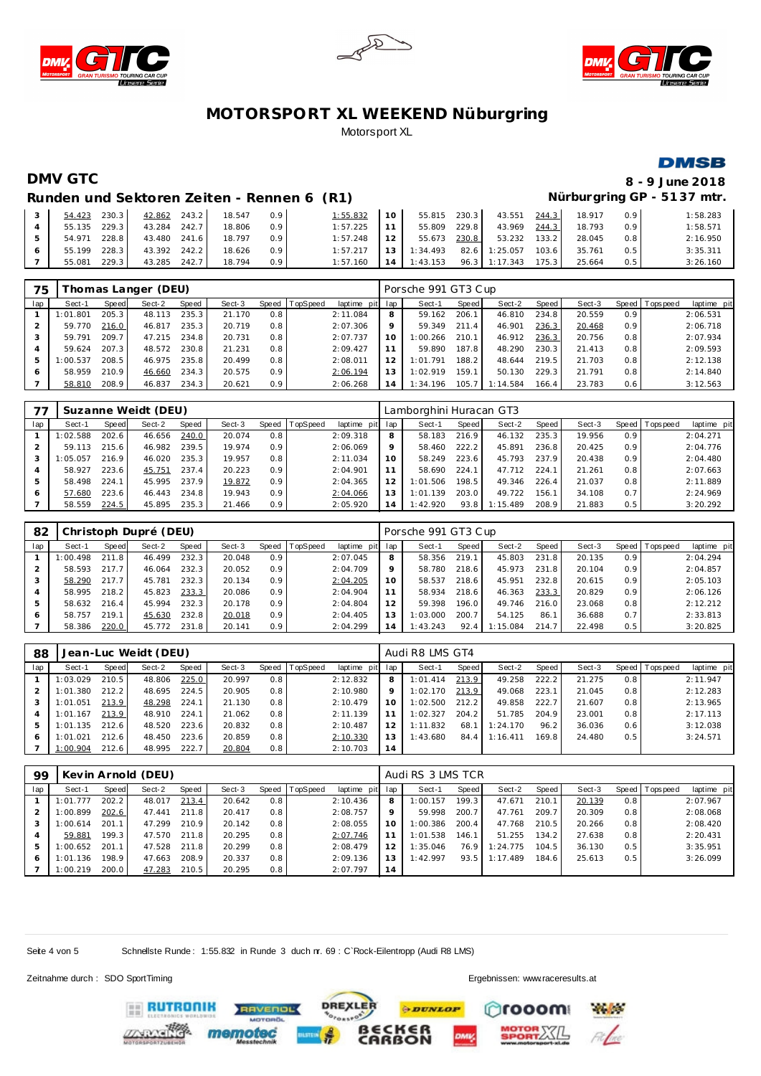





### **DMSB**

### **DMV GTC 8 - 9 June 2018**

## Runden 1987 **Nürburgring GP - 5137 mtr.**

| Runden und Sektoren Zeiten - Rennen 6 (R1) |  |  |
|--------------------------------------------|--|--|
|                                            |  |  |

|  | 54.423 230.3 42.862 243.2 18.547 | 0.9           | $1:55.832$ 10 55.815 230.3 43.551 244.3          |  |  | 18.917 0.9 |     | 1:58.283 |
|--|----------------------------------|---------------|--------------------------------------------------|--|--|------------|-----|----------|
|  | 55.135 229.3 43.284 242.7        | 18.806<br>0.9 | $1:57.225$ 11 55.809 229.8 43.969 244.3          |  |  | 18.793     | 0.9 | 1:58.571 |
|  | 54.971 228.8 43.480 241.6 18.797 | 0.9           | $1:57.248$   12   55.673 230.8   53.232 133.2    |  |  | 28.045     | 0.8 | 2:16.950 |
|  | 55.199 228.3 43.392 242.2        | 18.626<br>0.9 | $1:57.217$   13   1:34.493 82.6 1:25.057 103.6   |  |  | 35.761     | 0.5 | 3:35.311 |
|  | 55.081 229.3 43.285 242.7 18.794 | 0.9           | $1:57.160$   14   1:43.153 96.3   1:17.343 175.3 |  |  | 25.664     | 0.5 | 3:26.160 |

| 75  | homas Langer (DEU) |       |        |       |        |       |          |                 |         | Porsche 991 GT3 Cup |       |          |       |        |                  |                 |             |  |  |
|-----|--------------------|-------|--------|-------|--------|-------|----------|-----------------|---------|---------------------|-------|----------|-------|--------|------------------|-----------------|-------------|--|--|
| lap | Sect-1             | Speed | Sect-2 | Speed | Sect-3 | Speed | TopSpeed | laptime pit lap |         | Sect-1              | Speed | Sect-2   | Speed | Sect-3 |                  | Speed Tops peed | laptime pit |  |  |
|     | 1:01.801           | 205.3 | 48.113 | 235.3 | 21.170 | 0.8   |          | 2:11.084        | 8       | 59.162              | 206.1 | 46.810   | 234.8 | 20.559 | 0.9 <sup>°</sup> |                 | 2:06.531    |  |  |
|     | 59.770             | 216.0 | 46.817 | 235.3 | 20.719 | 0.8   |          | 2:07.306        | $\circ$ | 59.349              | 211.4 | 46.901   | 236.3 | 20.468 | 0.9              |                 | 2:06.718    |  |  |
|     | 59.791             | 209.7 | 47.215 | 234.8 | 20.731 | 0.8   |          | 2:07.737        | 10      | 1:00.266            | 210.1 | 46.912   | 236.3 | 20.756 | 0.8              |                 | 2:07.934    |  |  |
|     | 59.624             | 207.3 | 48.572 | 230.8 | 21.231 | 0.8   |          | 2:09.427        |         | 59.890              | 187.8 | 48.290   | 230.3 | 21.413 | 0.8              |                 | 2:09.593    |  |  |
| 5   | 1:00.537           | 208.5 | 46.975 | 235.8 | 20.499 | 0.8   |          | 2:08.011        |         | 1:01.791            | 188.2 | 48.644   | 219.5 | 21.703 | 0.8              |                 | 2:12.138    |  |  |
|     | 58.959             | 210.9 | 46.660 | 234.3 | 20.575 | 0.9   |          | 2:06.194        |         | 1:02.919            | 159.1 | 50.130   | 229.3 | 21.791 | 0.8              |                 | 2:14.840    |  |  |
|     | 58.810             | 208.9 | 46.837 | 234.3 | 20.621 | 0.9   |          | 2:06.268        | 14      | I: 34.196           | 105.7 | 1:14.584 | 166.4 | 23.783 | 0.6              |                 | 3:12.563    |  |  |

|     | Suzanne Weidt (DEU) |       |        |       |        |       |          |             |         | Lamborghini Huracan GT3 |       |          |       |        |                  |           |             |  |  |
|-----|---------------------|-------|--------|-------|--------|-------|----------|-------------|---------|-------------------------|-------|----------|-------|--------|------------------|-----------|-------------|--|--|
| lap | Sect-1              | Speed | Sect-2 | Speed | Sect-3 | Speed | TopSpeed | laptime pit | lap     | Sect-1                  | Speed | Sect-2   | Speed | Sect-3 | <b>Speed</b>     | Tops peed | laptime pit |  |  |
|     | :02.588             | 202.6 | 46.656 | 240.0 | 20.074 | 0.8   |          | 2:09.318    | 8       | 58.183                  | 216.9 | 46.132   | 235.3 | 19.956 | 0.9 <sup>°</sup> |           | 2:04.271    |  |  |
|     | 59.113              | 215.6 | 46.982 | 239.5 | 19.974 | 0.9   |          | 2:06.069    | $\circ$ | 58.460                  | 222.2 | 45.891   | 236.8 | 20.425 | 0.9              |           | 2:04.776    |  |  |
| 3   | :05.057             | 216.9 | 46.020 | 235.3 | 19.957 | 0.8   |          | 2:11.034    | 10      | 58.249                  | 223.6 | 45.793   | 237.9 | 20.438 | 0.9              |           | 2:04.480    |  |  |
|     | 58.927              | 223.6 | 45.751 | 237.4 | 20.223 | 0.9   |          | 2:04.901    | 11      | 58.690                  | 224.1 | 47.712   | 224.1 | 21.261 | 0.8              |           | 2:07.663    |  |  |
| 5   | 58.498              | 224.7 | 45.995 | 237.9 | 19.872 | 0.9   |          | 2:04.365    | 12      | 1:01.506                | 198.5 | 49.346   | 226.4 | 21.037 | 0.8              |           | 2:11.889    |  |  |
| 6   | 57.680              | 223.6 | 46.443 | 234.8 | 19.943 | 0.9   |          | 2:04.066    | 13      | 1:01.139                | 203.0 | 49.722   | 156.1 | 34.108 | 0.7              |           | 2:24.969    |  |  |
|     | 58.559              | 224.5 | 45.895 | 235.3 | 21.466 | 0.9   |          | 2:05.920    | 14      | 1:42.920                | 93.8  | 1:15.489 | 208.9 | 21.883 | 0.5              |           | 3:20.292    |  |  |

| 82  | Christoph Dupré (DEU) |       |        |       |        |                  |          |                 |     | Porsche 991 GT3 Cup |       |          |       |        |                  |                 |             |  |  |
|-----|-----------------------|-------|--------|-------|--------|------------------|----------|-----------------|-----|---------------------|-------|----------|-------|--------|------------------|-----------------|-------------|--|--|
| lap | Sect-1                | Speed | Sect-2 | Speed | Sect-3 | Speed            | TopSpeed | laptime pit lap |     | Sect-1              | Speed | Sect-2   | Speed | Sect-3 |                  | Speed Tops peed | laptime pit |  |  |
|     | 1:00.498              | 211.8 | 46.499 | 232.3 | 20.048 | 0.9 <sup>°</sup> |          | 2:07.045        | 8   | 58.356              | 219.1 | 45.803   | 231.8 | 20.135 | 0.9 <sup>°</sup> |                 | 2:04.294    |  |  |
|     | 58.593                | 217.7 | 46.064 | 232.3 | 20.052 | 0.9              |          | 2:04.709        | 9   | 58.780              | 218.6 | 45.973   | 231.8 | 20.104 | 0.9              |                 | 2:04.857    |  |  |
|     | 58.290                | 217.7 | 45.781 | 232.3 | 20.134 | 0.9              |          | 2:04.205        | 10  | 58.537              | 218.6 | 45.951   | 232.8 | 20.615 | 0.9              |                 | 2:05.103    |  |  |
|     | 58.995                | 218.2 | 45.823 | 233.3 | 20.086 | 0.9              |          | 2:04.904        |     | 58.934              | 218.6 | 46.363   | 233.3 | 20.829 | 0.9              |                 | 2:06.126    |  |  |
| 5   | 58.632                | 216.4 | 45.994 | 232.3 | 20.178 | 0.9              |          | 2:04.804        | 12  | 59.398              | 196.0 | 49.746   | 216.0 | 23.068 | 0.8              |                 | 2:12.212    |  |  |
| 6   | 58.757                | 219.1 | 45.630 | 232.8 | 20.018 | 0.9              |          | 2:04.405        | 1.3 | 1:03.000            | 200.7 | 54.125   | 86.1  | 36.688 | 0.7              |                 | 2:33.813    |  |  |
|     | 58.386                | 220.0 | 45.772 | 231.8 | 20.141 | 0.9              |          | 2:04.299        | 14  | 1:43.243            | 92.4  | 1:15.084 | 214.7 | 22.498 | 0.5              |                 | 3:20.825    |  |  |

| 88  |          |       | Jean-Luc Weidt (DEU) |       |        |       |          |             | Audi R8 LMS GT4 |          |       |          |       |        |     |                 |             |  |
|-----|----------|-------|----------------------|-------|--------|-------|----------|-------------|-----------------|----------|-------|----------|-------|--------|-----|-----------------|-------------|--|
| lap | Sect-1   | Speed | Sect-2               | Speed | Sect-3 | Speed | TopSpeed | laptime pit | lap             | Sect-1   | Speed | Sect-2   | Speed | Sect-3 |     | Speed Tops peed | laptime pit |  |
|     | : 03.029 | 210.5 | 48.806               | 225.0 | 20.997 | 0.8   |          | 2:12.832    | 8               | 1:01.414 | 213.9 | 49.258   | 222.2 | 21.275 | 0.8 |                 | 2:11.947    |  |
|     | :01.380  | 212.2 | 48.695               | 224.5 | 20.905 | 0.8   |          | 2:10.980    | 9               | 1:02.170 | 213.9 | 49.068   | 223.1 | 21.045 | 0.8 |                 | 2:12.283    |  |
|     | :01.051  | 213.9 | 48.298               | 224.1 | 21.130 | 0.8   |          | 2:10.479    | 10              | 1:02.500 | 212.2 | 49.858   | 222.7 | 21.607 | 0.8 |                 | 2:13.965    |  |
|     | : 01.167 | 213.9 | 48.910               | 224.1 | 21.062 | 0.8   |          | 2:11.139    | 11              | 1:02.327 | 204.2 | 51.785   | 204.9 | 23.001 | 0.8 |                 | 2:17.113    |  |
| 5   | : 01.135 | 212.6 | 48.520               | 223.6 | 20.832 | 0.8   |          | 2:10.487    | 12              | 1:11.832 | 68.1  | 1:24.170 | 96.2  | 36.036 | 0.6 |                 | 3:12.038    |  |
| 6   | :01.021  | 212.6 | 48.450               | 223.6 | 20.859 | 0.8   |          | 2:10.330    | 13              | 1:43.680 | 84.4  | 1:16.411 | 169.8 | 24.480 | 0.5 |                 | 3:24.571    |  |
|     | 1:00.904 | 212.6 | 48.995               | 222.7 | 20.804 | 0.8   |          | 2:10.703    | 14              |          |       |          |       |        |     |                 |             |  |

| 99  | Kevin Arnold (DEU) |       |        |       |        |     |                |             |     | Audi RS 3 LMS TCR |       |          |       |        |       |           |             |  |  |
|-----|--------------------|-------|--------|-------|--------|-----|----------------|-------------|-----|-------------------|-------|----------|-------|--------|-------|-----------|-------------|--|--|
| lap | Sect-1             | Speed | Sect-2 | Speed | Sect-3 |     | Speed TopSpeed | laptime pit | lap | Sect-1            | Speed | Sect-2   | Speed | Sect-3 | Speed | Tops peed | laptime pit |  |  |
|     | : 01.777           | 202.2 | 48.017 | 213.4 | 20.642 | 0.8 |                | 2:10.436    | 8   | 1:00.157          | 199.3 | 47.671   | 210.1 | 20.139 | 0.8   |           | 2:07.967    |  |  |
|     | :00.899            | 202.6 | 47.441 | 211.8 | 20.417 | 0.8 |                | 2:08.757    | Q   | 59.998            | 200.7 | 47.761   | 209.7 | 20.309 | 0.8   |           | 2:08.068    |  |  |
|     | :00.614            | 201.1 | 47.299 | 210.9 | 20.142 | 0.8 |                | 2:08.055    | 10  | 1:00.386          | 200.4 | 47.768   | 210.5 | 20.266 | 0.8   |           | 2:08.420    |  |  |
|     | 59.881             | 199.3 | 47.570 | 211.8 | 20.295 | 0.8 |                | 2:07.746    | 11  | 1:01.538          | 146.1 | 51.255   | 134.2 | 27.638 | 0.8   |           | 2:20.431    |  |  |
| 5   | :00.652            | 201.1 | 47.528 | 211.8 | 20.299 | 0.8 |                | 2:08.479    | 12  | 1:35.046          | 76.9  | 1:24.775 | 104.5 | 36.130 | 0.5   |           | 3:35.951    |  |  |
| 6   | :01.136            | 198.9 | 47.663 | 208.9 | 20.337 | 0.8 |                | 2:09.136    | 13  | 1:42.997          | 93.5  | 1:17.489 | 184.6 | 25.613 | 0.5   |           | 3:26.099    |  |  |
|     | 1:00.219           | 200.0 | 47.283 | 210.5 | 20.295 | 0.8 |                | 2:07.797    | 14  |                   |       |          |       |        |       |           |             |  |  |

**PDUNLOP** 

Seite 4 von 5 Schnellste Runde : 1:55.832 in Runde 3 duch nr. 69 : C`Rock-Eilentropp (Audi R8 LMS)

Zeitnahme durch : SDO SportTiming Ergebnissen: [www.raceresults.a](www.raceresults.at)t

mooon

**Philadelphia**